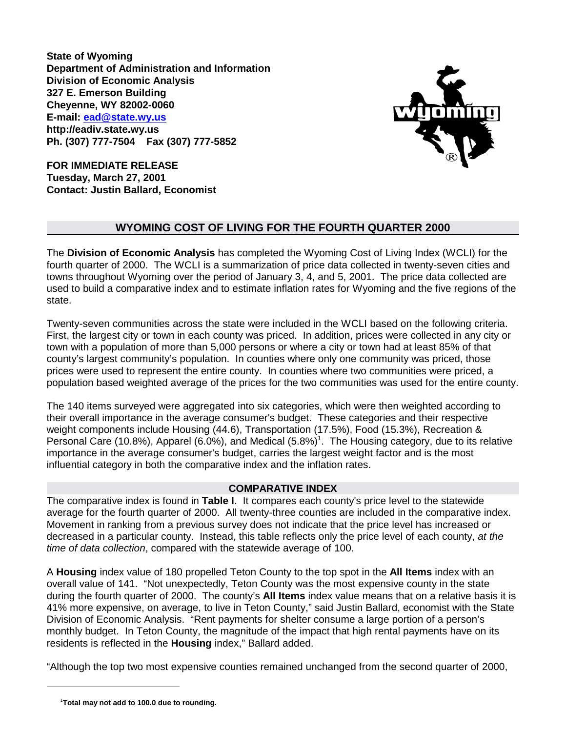**State of Wyoming Department of Administration and Information Division of Economic Analysis 327 E. Emerson Building Cheyenne, WY 82002-0060 E-mail: ead@state.wy.us http://eadiv.state.wy.us Ph. (307) 777-7504 Fax (307) 777-5852**



**FOR IMMEDIATE RELEASE Tuesday, March 27, 2001 Contact: Justin Ballard, Economist**

# **WYOMING COST OF LIVING FOR THE FOURTH QUARTER 2000**

The **Division of Economic Analysis** has completed the Wyoming Cost of Living Index (WCLI) for the fourth quarter of 2000. The WCLI is a summarization of price data collected in twenty-seven cities and towns throughout Wyoming over the period of January 3, 4, and 5, 2001. The price data collected are used to build a comparative index and to estimate inflation rates for Wyoming and the five regions of the state.

Twenty-seven communities across the state were included in the WCLI based on the following criteria. First, the largest city or town in each county was priced. In addition, prices were collected in any city or town with a population of more than 5,000 persons or where a city or town had at least 85% of that county's largest community's population. In counties where only one community was priced, those prices were used to represent the entire county. In counties where two communities were priced, a population based weighted average of the prices for the two communities was used for the entire county.

The 140 items surveyed were aggregated into six categories, which were then weighted according to their overall importance in the average consumer's budget. These categories and their respective weight components include Housing (44.6), Transportation (17.5%), Food (15.3%), Recreation & Personal Care (10.8%), Apparel (6.0%), and Medical  $(5.8\%)^1$ . The Housing category, due to its relative importance in the average consumer's budget, carries the largest weight factor and is the most influential category in both the comparative index and the inflation rates.

## **COMPARATIVE INDEX**

The comparative index is found in **Table I**. It compares each county's price level to the statewide average for the fourth quarter of 2000. All twenty-three counties are included in the comparative index. Movement in ranking from a previous survey does not indicate that the price level has increased or decreased in a particular county. Instead, this table reflects only the price level of each county, *at the time of data collection*, compared with the statewide average of 100.

A **Housing** index value of 180 propelled Teton County to the top spot in the **All Items** index with an overall value of 141. "Not unexpectedly, Teton County was the most expensive county in the state during the fourth quarter of 2000. The county's **All Items** index value means that on a relative basis it is 41% more expensive, on average, to live in Teton County," said Justin Ballard, economist with the State Division of Economic Analysis. "Rent payments for shelter consume a large portion of a person's monthly budget. In Teton County, the magnitude of the impact that high rental payments have on its residents is reflected in the **Housing** index," Ballard added.

"Although the top two most expensive counties remained unchanged from the second quarter of 2000,

 <sup>1</sup> **Total may not add to 100.0 due to rounding.**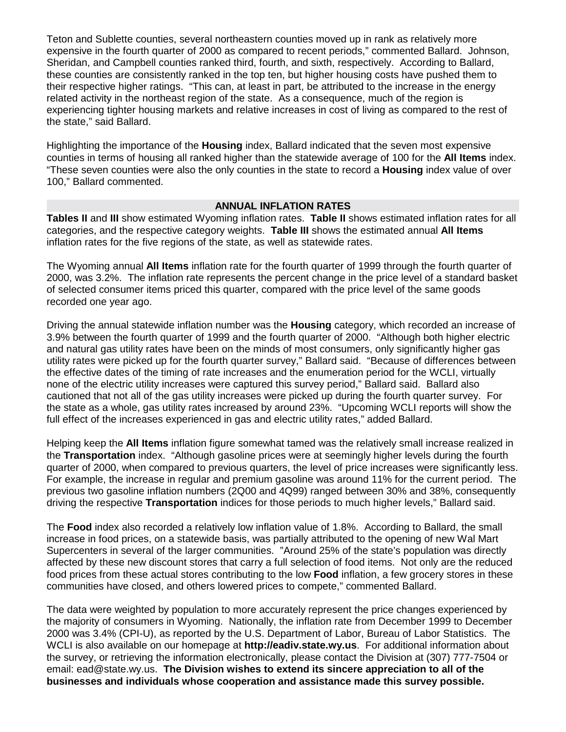Teton and Sublette counties, several northeastern counties moved up in rank as relatively more expensive in the fourth quarter of 2000 as compared to recent periods," commented Ballard. Johnson, Sheridan, and Campbell counties ranked third, fourth, and sixth, respectively. According to Ballard, these counties are consistently ranked in the top ten, but higher housing costs have pushed them to their respective higher ratings. "This can, at least in part, be attributed to the increase in the energy related activity in the northeast region of the state. As a consequence, much of the region is experiencing tighter housing markets and relative increases in cost of living as compared to the rest of the state," said Ballard.

Highlighting the importance of the **Housing** index, Ballard indicated that the seven most expensive counties in terms of housing all ranked higher than the statewide average of 100 for the **All Items** index. "These seven counties were also the only counties in the state to record a **Housing** index value of over 100," Ballard commented.

## **ANNUAL INFLATION RATES**

**Tables II** and **III** show estimated Wyoming inflation rates. **Table II** shows estimated inflation rates for all categories, and the respective category weights. **Table III** shows the estimated annual **All Items** inflation rates for the five regions of the state, as well as statewide rates.

The Wyoming annual **All Items** inflation rate for the fourth quarter of 1999 through the fourth quarter of 2000, was 3.2%. The inflation rate represents the percent change in the price level of a standard basket of selected consumer items priced this quarter, compared with the price level of the same goods recorded one year ago.

Driving the annual statewide inflation number was the **Housing** category, which recorded an increase of 3.9% between the fourth quarter of 1999 and the fourth quarter of 2000. "Although both higher electric and natural gas utility rates have been on the minds of most consumers, only significantly higher gas utility rates were picked up for the fourth quarter survey," Ballard said. "Because of differences between the effective dates of the timing of rate increases and the enumeration period for the WCLI, virtually none of the electric utility increases were captured this survey period," Ballard said. Ballard also cautioned that not all of the gas utility increases were picked up during the fourth quarter survey. For the state as a whole, gas utility rates increased by around 23%. "Upcoming WCLI reports will show the full effect of the increases experienced in gas and electric utility rates," added Ballard.

Helping keep the **All Items** inflation figure somewhat tamed was the relatively small increase realized in the **Transportation** index. "Although gasoline prices were at seemingly higher levels during the fourth quarter of 2000, when compared to previous quarters, the level of price increases were significantly less. For example, the increase in regular and premium gasoline was around 11% for the current period. The previous two gasoline inflation numbers (2Q00 and 4Q99) ranged between 30% and 38%, consequently driving the respective **Transportation** indices for those periods to much higher levels," Ballard said.

The **Food** index also recorded a relatively low inflation value of 1.8%. According to Ballard, the small increase in food prices, on a statewide basis, was partially attributed to the opening of new Wal Mart Supercenters in several of the larger communities. "Around 25% of the state's population was directly affected by these new discount stores that carry a full selection of food items. Not only are the reduced food prices from these actual stores contributing to the low **Food** inflation, a few grocery stores in these communities have closed, and others lowered prices to compete," commented Ballard.

The data were weighted by population to more accurately represent the price changes experienced by the majority of consumers in Wyoming. Nationally, the inflation rate from December 1999 to December 2000 was 3.4% (CPI-U), as reported by the U.S. Department of Labor, Bureau of Labor Statistics. The WCLI is also available on our homepage at **http://eadiv.state.wy.us**. For additional information about the survey, or retrieving the information electronically, please contact the Division at (307) 777-7504 or email: ead@state.wy.us. **The Division wishes to extend its sincere appreciation to all of the businesses and individuals whose cooperation and assistance made this survey possible.**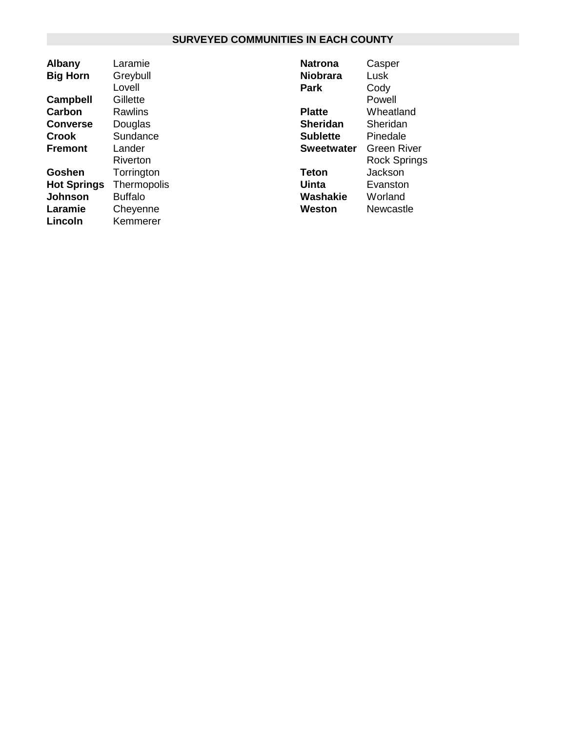# **SURVEYED COMMUNITIES IN EACH COUNTY**

| <b>Albany</b>      | Laramie     |
|--------------------|-------------|
| <b>Big Horn</b>    | Greybull    |
|                    | Lovell      |
| <b>Campbell</b>    | Gillette    |
| <b>Carbon</b>      | Rawlins     |
| <b>Converse</b>    | Douglas     |
| Crook              | Sundance    |
| Fremont            | Lander      |
|                    | Riverton    |
| Goshen             | Torrington  |
| <b>Hot Springs</b> | Thermopolis |
| Johnson            | Buffalo     |
| Laramie            | Cheyenne    |
| Lincoln            | Kemmerer    |

| Natrona           | Casper              |
|-------------------|---------------------|
| Niobrara          | Lusk                |
| Park              | Cody                |
|                   | Powell              |
| <b>Platte</b>     | Wheatland           |
| <b>Sheridan</b>   | Sheridan            |
| Sublette          | Pinedale            |
| <b>Sweetwater</b> | <b>Green River</b>  |
|                   | <b>Rock Springs</b> |
| Teton             | Jackson             |
| Uinta             | Evanston            |
| Washakie          | Worland             |
| Weston            | Newcastle           |
|                   |                     |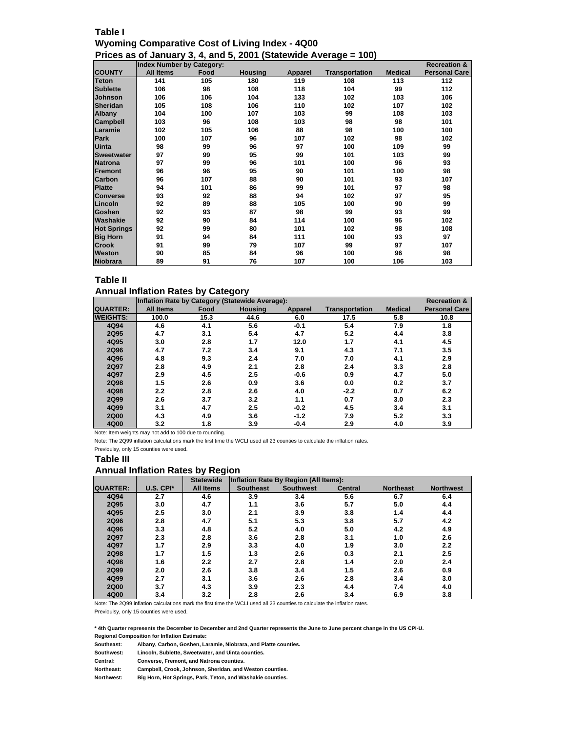## **Table I Wyoming Comparative Cost of Living Index - 4Q00 Prices as of January 3, 4, and 5, 2001 (Statewide Average = 100)**

|                    | <b>Index Number by Category:</b> |      |                |                |                       |                | <b>Recreation &amp;</b> |
|--------------------|----------------------------------|------|----------------|----------------|-----------------------|----------------|-------------------------|
| <b>COUNTY</b>      | <b>All Items</b>                 | Food | <b>Housing</b> | <b>Apparel</b> | <b>Transportation</b> | <b>Medical</b> | <b>Personal Care</b>    |
| <b>Teton</b>       | 141                              | 105  | 180            | 119            | 108                   | 113            | 112                     |
| <b>Sublette</b>    | 106                              | 98   | 108            | 118            | 104                   | 99             | 112                     |
| <b>Johnson</b>     | 106                              | 106  | 104            | 133            | 102                   | 103            | 106                     |
| <b>Sheridan</b>    | 105                              | 108  | 106            | 110            | 102                   | 107            | 102                     |
| Albany             | 104                              | 100  | 107            | 103            | 99                    | 108            | 103                     |
| Campbell           | 103                              | 96   | 108            | 103            | 98                    | 98             | 101                     |
| Laramie            | 102                              | 105  | 106            | 88             | 98                    | 100            | 100                     |
| Park               | 100                              | 107  | 96             | 107            | 102                   | 98             | 102                     |
| <b>Uinta</b>       | 98                               | 99   | 96             | 97             | 100                   | 109            | 99                      |
| <b>Sweetwater</b>  | 97                               | 99   | 95             | 99             | 101                   | 103            | 99                      |
| <b>Natrona</b>     | 97                               | 99   | 96             | 101            | 100                   | 96             | 93                      |
| Fremont            | 96                               | 96   | 95             | 90             | 101                   | 100            | 98                      |
| Carbon             | 96                               | 107  | 88             | 90             | 101                   | 93             | 107                     |
| <b>Platte</b>      | 94                               | 101  | 86             | 99             | 101                   | 97             | 98                      |
| <b>Converse</b>    | 93                               | 92   | 88             | 94             | 102                   | 97             | 95                      |
| Lincoln            | 92                               | 89   | 88             | 105            | 100                   | 90             | 99                      |
| Goshen             | 92                               | 93   | 87             | 98             | 99                    | 93             | 99                      |
| Washakie           | 92                               | 90   | 84             | 114            | 100                   | 96             | 102                     |
| <b>Hot Springs</b> | 92                               | 99   | 80             | 101            | 102                   | 98             | 108                     |
| <b>Big Horn</b>    | 91                               | 94   | 84             | 111            | 100                   | 93             | 97                      |
| <b>Crook</b>       | 91                               | 99   | 79             | 107            | 99                    | 97             | 107                     |
| Weston             | 90                               | 85   | 84             | 96             | 100                   | 96             | 98                      |
| <b>Niobrara</b>    | 89                               | 91   | 76             | 107            | 100                   | 106            | 103                     |

## **Table II**

#### **Annual Inflation Rates by Category**

|                 | Inflation Rate by Category (Statewide Average):<br><b>Recreation &amp;</b> |      |                |         |                       |                |                      |  |  |  |
|-----------------|----------------------------------------------------------------------------|------|----------------|---------|-----------------------|----------------|----------------------|--|--|--|
| <b>QUARTER:</b> | <b>All Items</b>                                                           | Food | <b>Housing</b> | Apparel | <b>Transportation</b> | <b>Medical</b> | <b>Personal Care</b> |  |  |  |
| <b>WEIGHTS:</b> | 100.0                                                                      | 15.3 | 44.6           | 6.0     | 17.5                  | 5.8            | 10.8                 |  |  |  |
| 4Q94            | 4.6                                                                        | 4.1  | 5.6            | $-0.1$  | 5.4                   | 7.9            | 1.8                  |  |  |  |
| 2Q95            | 4.7                                                                        | 3.1  | 5.4            | 4.7     | 5.2                   | 4.4            | 3.8                  |  |  |  |
| 4Q95            | 3.0                                                                        | 2.8  | 1.7            | 12.0    | 1.7                   | 4.1            | 4.5                  |  |  |  |
| 2Q96            | 4.7                                                                        | 7.2  | 3.4            | 9.1     | 4.3                   | 7.1            | 3.5                  |  |  |  |
| 4Q96            | 4.8                                                                        | 9.3  | 2.4            | 7.0     | 7.0                   | 4.1            | 2.9                  |  |  |  |
| 2Q97            | 2.8                                                                        | 4.9  | 2.1            | 2.8     | 2.4                   | 3.3            | 2.8                  |  |  |  |
| 4Q97            | 2.9                                                                        | 4.5  | 2.5            | $-0.6$  | 0.9                   | 4.7            | 5.0                  |  |  |  |
| 2Q98            | 1.5                                                                        | 2.6  | 0.9            | 3.6     | 0.0                   | 0.2            | 3.7                  |  |  |  |
| 4Q98            | 2.2                                                                        | 2.8  | 2.6            | 4.0     | $-2.2$                | 0.7            | 6.2                  |  |  |  |
| 2Q99            | 2.6                                                                        | 3.7  | 3.2            | 1.1     | 0.7                   | 3.0            | 2.3                  |  |  |  |
| 4Q99            | 3.1                                                                        | 4.7  | 2.5            | $-0.2$  | 4.5                   | 3.4            | 3.1                  |  |  |  |
| <b>2Q00</b>     | 4.3                                                                        | 4.9  | 3.6            | $-1.2$  | 7.9                   | 5.2            | 3.3                  |  |  |  |
| 4Q00            | 3.2                                                                        | 1.8  | 3.9            | $-0.4$  | 2.9                   | 4.0            | 3.9                  |  |  |  |

Note: Item weights may not add to 100 due to rounding.

Note: The 2Q99 inflation calculations mark the first time the WCLI used all 23 counties to calculate the inflation rates.

Previoulsy, only 15 counties were used.

#### **Table III**

## **Annual Inflation Rates by Region**

|                 |           | <b>Statewide</b> | Inflation Rate By Region (All Items): |                  |                |                  |                  |  |  |
|-----------------|-----------|------------------|---------------------------------------|------------------|----------------|------------------|------------------|--|--|
| <b>QUARTER:</b> | U.S. CPI* | <b>All Items</b> | <b>Southeast</b>                      | <b>Southwest</b> | <b>Central</b> | <b>Northeast</b> | <b>Northwest</b> |  |  |
| 4Q94            | 2.7       | 4.6              | 3.9                                   | 3.4              | 5.6            | 6.7              | 6.4              |  |  |
| 2Q95            | 3.0       | 4.7              | 1.1                                   | 3.6              | 5.7            | 5.0              | 4.4              |  |  |
| 4Q95            | 2.5       | 3.0              | 2.1                                   | 3.9              | 3.8            | 1.4              | 4.4              |  |  |
| 2Q96            | 2.8       | 4.7              | 5.1                                   | 5.3              | 3.8            | 5.7              | 4.2              |  |  |
| 4Q96            | 3.3       | 4.8              | 5.2                                   | 4.0              | 5.0            | 4.2              | 4.9              |  |  |
| 2Q97            | 2.3       | 2.8              | 3.6                                   | 2.8              | 3.1            | 1.0              | 2.6              |  |  |
| 4Q97            | 1.7       | 2.9              | 3.3                                   | 4.0              | 1.9            | 3.0              | 2.2              |  |  |
| 2Q98            | 1.7       | 1.5              | 1.3                                   | 2.6              | 0.3            | 2.1              | 2.5              |  |  |
| 4Q98            | 1.6       | 2.2              | 2.7                                   | 2.8              | 1.4            | 2.0              | 2.4              |  |  |
| 2Q99            | 2.0       | 2.6              | 3.8                                   | 3.4              | 1.5            | 2.6              | 0.9              |  |  |
| 4Q99            | 2.7       | 3.1              | 3.6                                   | 2.6              | 2.8            | 3.4              | 3.0              |  |  |
| <b>2Q00</b>     | 3.7       | 4.3              | 3.9                                   | 2.3              | 4.4            | 7.4              | 4.0              |  |  |
| 4Q00            | 3.4       | 3.2              | 2.8                                   | 2.6              | 3.4            | 6.9              | 3.8              |  |  |

Note: The 2Q99 inflation calculations mark the first time the WCLI used all 23 counties to calculate the inflation rates.

Previoulsy, only 15 counties were used.

**\* 4th Quarter represents the December to December and 2nd Quarter represents the June to June percent change in the US CPI-U. Regional Composition for Inflation Estimate:**

| Southeast: | Albany, Carbon, Goshen, Laramie, Niobrara, and Platte counties. |
|------------|-----------------------------------------------------------------|
| Southwest: | Lincoln, Sublette, Sweetwater, and Uinta counties.              |
| Central:   | <b>Converse, Fremont, and Natrona counties.</b>                 |
| Northeast: | Campbell, Crook, Johnson, Sheridan, and Weston counties.        |
| Northwest: | Big Horn, Hot Springs, Park, Teton, and Washakie counties.      |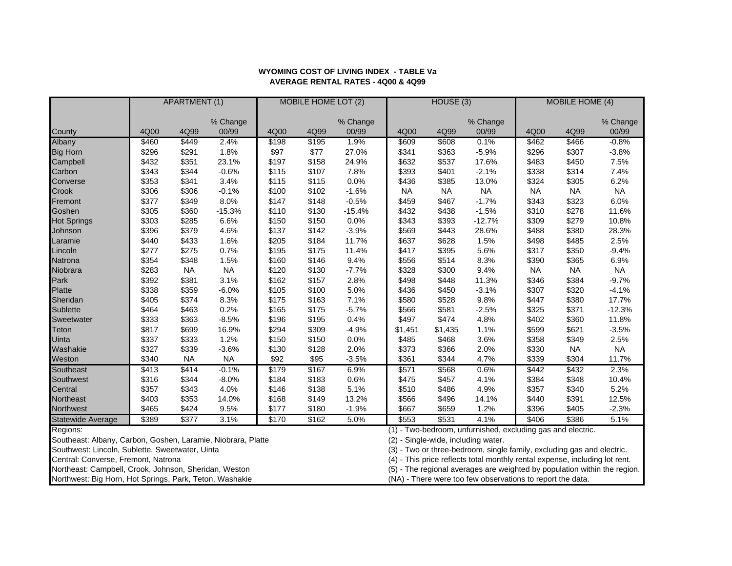|                                                              | <b>APARTMENT (1)</b> |           |                   | <b>MOBILE HOME LOT (2)</b> |                 |                   | HOUSE(3)                                                   |                                     |                                                                             | <b>MOBILE HOME (4)</b> |           |                   |
|--------------------------------------------------------------|----------------------|-----------|-------------------|----------------------------|-----------------|-------------------|------------------------------------------------------------|-------------------------------------|-----------------------------------------------------------------------------|------------------------|-----------|-------------------|
|                                                              |                      |           |                   |                            |                 |                   |                                                            |                                     |                                                                             |                        |           |                   |
| County                                                       | 4Q00                 | 4Q99      | % Change<br>00/99 | 4Q00                       | 4Q99            | % Change<br>00/99 | 4Q00                                                       | 4Q99                                | % Change<br>00/99                                                           | 4Q00                   | 4Q99      | % Change<br>00/99 |
| Albany                                                       | \$460                | \$449     | 2.4%              | \$198                      | \$195           | 1.9%              | \$609                                                      | \$608                               | 0.1%                                                                        | \$462                  | \$466     | $-0.8%$           |
| <b>Big Horn</b>                                              | \$296                | \$291     | 1.8%              | \$97                       | \$77            | 27.0%             | \$341                                                      | \$363                               | $-5.9%$                                                                     | \$296                  | \$307     | $-3.8%$           |
| Campbell                                                     | \$432                | \$351     | 23.1%             | \$197                      | \$158           | 24.9%             | \$632                                                      | \$537                               | 17.6%                                                                       | \$483                  | \$450     | 7.5%              |
| Carbon                                                       | \$343                | \$344     | $-0.6%$           | \$115                      | \$107           | 7.8%              | \$393                                                      | \$401                               | $-2.1%$                                                                     | \$338                  | \$314     | 7.4%              |
| Converse                                                     | \$353                | \$341     | 3.4%              |                            | \$115           | 0.0%              | \$436                                                      | \$385                               | 13.0%                                                                       | \$324                  | \$305     |                   |
|                                                              |                      |           | $-0.1%$           | \$115                      | \$102           | $-1.6%$           |                                                            | <b>NA</b>                           | <b>NA</b>                                                                   |                        |           | 6.2%<br><b>NA</b> |
| Crook                                                        | \$306                | \$306     |                   | \$100                      |                 |                   | <b>NA</b>                                                  |                                     |                                                                             | <b>NA</b>              | <b>NA</b> |                   |
| Fremont                                                      | \$377                | \$349     | 8.0%              | \$147                      | \$148           | $-0.5%$           | \$459                                                      | \$467                               | $-1.7%$                                                                     | \$343                  | \$323     | 6.0%              |
| Goshen                                                       | \$305                | \$360     | $-15.3%$          | \$110                      | \$130           | $-15.4%$          | \$432                                                      | \$438                               | $-1.5%$                                                                     | \$310                  | \$278     | 11.6%             |
| <b>Hot Springs</b>                                           | \$303                | \$285     | 6.6%              | \$150                      | \$150           | 0.0%              | \$343                                                      | \$393                               | $-12.7%$                                                                    | \$309                  | \$279     | 10.8%             |
| Johnson                                                      | \$396                | \$379     | 4.6%              | \$137                      | \$142           | $-3.9%$           | \$569                                                      | \$443                               | 28.6%                                                                       | \$488                  | \$380     | 28.3%             |
| Laramie                                                      | \$440                | \$433     | 1.6%              | \$205                      | \$184           | 11.7%             | \$637                                                      | \$628                               | 1.5%                                                                        | \$498                  | \$485     | 2.5%              |
| Lincoln                                                      | \$277                | \$275     | 0.7%              | \$195                      | \$175           | 11.4%             | \$417                                                      | \$395                               | 5.6%                                                                        | \$317                  | \$350     | $-9.4%$           |
| Natrona                                                      | \$354                | \$348     | 1.5%              | \$160                      | \$146           | 9.4%              | \$556                                                      | \$514                               | 8.3%                                                                        | \$390                  | \$365     | 6.9%              |
| Niobrara                                                     | \$283                | <b>NA</b> | <b>NA</b>         | \$120                      | \$130           | $-7.7%$           | \$328                                                      | \$300                               | 9.4%                                                                        | <b>NA</b>              | <b>NA</b> | <b>NA</b>         |
| Park                                                         | \$392                | \$381     | 3.1%              | \$162                      | \$157           | 2.8%              | \$498                                                      | \$448                               | 11.3%                                                                       | \$346                  | \$384     | $-9.7%$           |
| <b>Platte</b>                                                | \$338                | \$359     | $-6.0%$           | \$105                      | \$100           | 5.0%              | \$436                                                      | \$450                               | $-3.1%$                                                                     | \$307                  | \$320     | $-4.1%$           |
| Sheridan                                                     | \$405                | \$374     | 8.3%              | \$175                      | \$163           | 7.1%              | \$580                                                      | \$528                               | 9.8%                                                                        | \$447                  | \$380     | 17.7%             |
| Sublette                                                     | \$464                | \$463     | 0.2%              | \$165                      | \$175           | $-5.7%$           | \$566                                                      | \$581                               | $-2.5%$                                                                     | \$325                  | \$371     | $-12.3%$          |
| Sweetwater                                                   | \$333                | \$363     | $-8.5%$           | \$196                      | \$195           | 0.4%              | \$497                                                      | \$474                               | 4.8%                                                                        | \$402                  | \$360     | 11.8%             |
| Teton                                                        | \$817                | \$699     | 16.9%             | \$294                      | \$309           | $-4.9%$           | \$1,451                                                    | \$1,435                             | 1.1%                                                                        | \$599                  | \$621     | $-3.5%$           |
| Uinta                                                        | \$337                | \$333     | 1.2%              | \$150                      | \$150           | 0.0%              | \$485                                                      | \$468                               | 3.6%                                                                        | \$358                  | \$349     | 2.5%              |
| Washakie                                                     | \$327                | \$339     | $-3.6%$           | \$130                      | \$128           | 2.0%              | \$373                                                      | \$366                               | 2.0%                                                                        | \$330                  | <b>NA</b> | <b>NA</b>         |
| Weston                                                       | \$340                | <b>NA</b> | NA                | \$92                       | \$95            | $-3.5%$           | \$361                                                      | \$344                               | 4.7%                                                                        | \$339                  | \$304     | 11.7%             |
| Southeast                                                    | \$413                | \$414     | $-0.1%$           | \$179                      | $\frac{1}{167}$ | 6.9%              | \$571                                                      | \$568                               | 0.6%                                                                        | \$442                  | \$432     | 2.3%              |
| Southwest                                                    | \$316                | \$344     | $-8.0%$           | \$184                      | \$183           | 0.6%              | \$475                                                      | \$457                               | 4.1%                                                                        | \$384                  | \$348     | 10.4%             |
| Central                                                      | \$357                | \$343     | 4.0%              | \$146                      | \$138           | 5.1%              | \$510                                                      | \$486                               | 4.9%                                                                        | \$357                  | \$340     | 5.2%              |
| Northeast                                                    | \$403                | \$353     | 14.0%             | \$168                      | \$149           | 13.2%             | \$566                                                      | \$496                               | 14.1%                                                                       | \$440                  | \$391     | 12.5%             |
| Northwest                                                    | \$465                | \$424     | 9.5%              | \$177                      | \$180           | $-1.9%$           | \$667                                                      | \$659                               | 1.2%                                                                        | \$396                  | \$405     | $-2.3%$           |
| Statewide Average                                            | \$389                | \$377     | 3.1%              | \$170                      | \$162           | 5.0%              | \$553                                                      | \$531                               | 4.1%                                                                        | \$406                  | \$386     | 5.1%              |
| Regions:                                                     |                      |           |                   |                            |                 |                   |                                                            |                                     | (1) - Two-bedroom, unfurnished, excluding gas and electric.                 |                        |           |                   |
| Southeast: Albany, Carbon, Goshen, Laramie, Niobrara, Platte |                      |           |                   |                            |                 |                   |                                                            | (2) - Single-wide, including water. |                                                                             |                        |           |                   |
| Southwest: Lincoln, Sublette, Sweetwater, Uinta              |                      |           |                   |                            |                 |                   |                                                            |                                     | (3) - Two or three-bedroom, single family, excluding gas and electric.      |                        |           |                   |
| Central: Converse, Fremont, Natrona                          |                      |           |                   |                            |                 |                   |                                                            |                                     | (4) - This price reflects total monthly rental expense, including lot rent. |                        |           |                   |
| Northeast: Campbell, Crook, Johnson, Sheridan, Weston        |                      |           |                   |                            |                 |                   |                                                            |                                     | (5) - The regional averages are weighted by population within the region.   |                        |           |                   |
| Northwest: Big Horn, Hot Springs, Park, Teton, Washakie      |                      |           |                   |                            |                 |                   | (NA) - There were too few observations to report the data. |                                     |                                                                             |                        |           |                   |

#### **WYOMING COST OF LIVING INDEX - TABLE Va AVERAGE RENTAL RATES - 4Q00 & 4Q99**